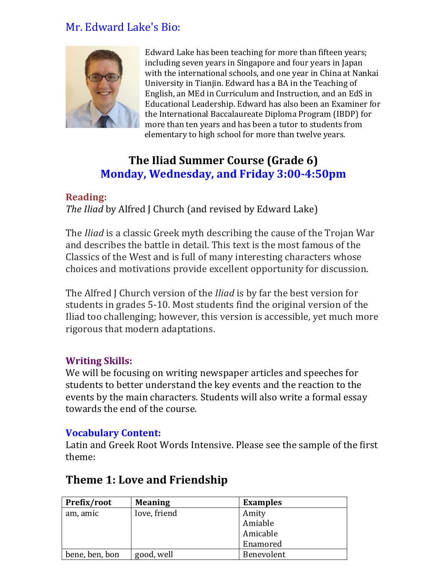## Mr. Edward Lake's Bio:



Edward Lake has been teaching for more than fifteen years; including seven years in Singapore and four years in Japan with the international schools, and one year in China at Nankai University in Tianjin. Edward has a BA in the Teaching of English, an MEd in Curriculum and Instruction, and an EdS in Educational Leadership. Edward has also been an Examiner for the International Baccalaureate Diploma Program (IBDP) for more than ten years and has been a tutor to students from elementary to high school for more than twelve years.

# **The Iliad Summer Course (Grade 6) Monday, Wednesday, and Friday 3:00-4:50pm**

#### **Reading:**

*The Iliad* by Alfred J Church (and revised by Edward Lake)

The *Iliad* is a classic Greek myth describing the cause of the Trojan War and describes the battle in detail. This text is the most famous of the Classics of the West and is full of many interesting characters whose choices and motivations provide excellent opportunity for discussion.

The Alfred J Church version of the *Iliad* is by far the best version for students in grades 5-10. Most students find the original version of the Iliad too challenging; however, this version is accessible, yet much more rigorous that modern adaptations.

#### **Writing Skills:**

We will be focusing on writing newspaper articles and speeches for students to better understand the key events and the reaction to the events by the main characters. Students will also write a formal essay towards the end of the course.

#### **Vocabulary Content:**

Latin and Greek Root Words Intensive. Please see the sample of the first theme:

### **Theme 1: Love and Friendship**

| Prefix/root    | <b>Meaning</b> | <b>Examples</b> |
|----------------|----------------|-----------------|
| am, amic       | love, friend   | Amity           |
|                |                | Amiable         |
|                |                | Amicable        |
|                |                | Enamored        |
| bene, ben, bon | good, well     | Benevolent      |